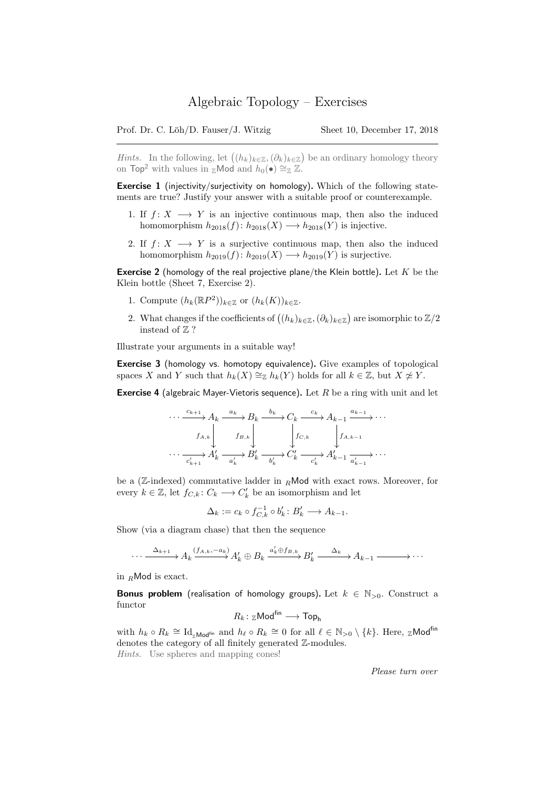*Hints*. In the following, let  $((h_k)_{k\in\mathbb{Z}}, (\partial_k)_{k\in\mathbb{Z}})$  be an ordinary homology theory on Top<sup>2</sup> with values in zMod and  $h_0(\bullet) \cong_{\mathbb{Z}} \mathbb{Z}$ .

Exercise 1 (injectivity/surjectivity on homology). Which of the following statements are true? Justify your answer with a suitable proof or counterexample.

- 1. If  $f: X \longrightarrow Y$  is an injective continuous map, then also the induced homomorphism  $h_{2018}(f): h_{2018}(X) \longrightarrow h_{2018}(Y)$  is injective.
- 2. If  $f: X \longrightarrow Y$  is a surjective continuous map, then also the induced homomorphism  $h_{2019}(f)$ :  $h_{2019}(X) \longrightarrow h_{2019}(Y)$  is surjective.

**Exercise 2** (homology of the real projective plane/the Klein bottle). Let  $K$  be the Klein bottle (Sheet 7, Exercise 2).

- 1. Compute  $(h_k(\mathbb{R}P^2))_{k\in\mathbb{Z}}$  or  $(h_k(K))_{k\in\mathbb{Z}}$ .
- 2. What changes if the coefficients of  $((h_k)_{k\in\mathbb{Z}}, (\partial_k)_{k\in\mathbb{Z}})$  are isomorphic to  $\mathbb{Z}/2$ instead of  $\mathbb{Z}$  ?

Illustrate your arguments in a suitable way!

Exercise 3 (homology vs. homotopy equivalence). Give examples of topological spaces X and Y such that  $h_k(X) \cong_{\mathbb{Z}} h_k(Y)$  holds for all  $k \in \mathbb{Z}$ , but  $X \not\cong Y$ .

**Exercise 4** (algebraic Mayer-Vietoris sequence). Let  $R$  be a ring with unit and let

$$
\cdots \xrightarrow{c_{k+1}} A_k \xrightarrow{a_k} B_k \xrightarrow{b_k} C_k \xrightarrow{c_k} A_{k-1} \xrightarrow{a_{k-1}} \cdots
$$
  

$$
f_{A,k} \downarrow \qquad f_{B,k} \downarrow \qquad f_{C,k} \qquad f_{A,k-1}
$$
  

$$
\cdots \xrightarrow{c'_{k+1}} A'_k \xrightarrow{a'_k} B'_k \xrightarrow{b'_k} C'_k \xrightarrow{c'_k} A'_{k-1} \xrightarrow{a'_{k-1}} \cdots
$$

be a (Z-indexed) commutative ladder in  $<sub>R</sub>$ Mod with exact rows. Moreover, for</sub> every  $k \in \mathbb{Z}$ , let  $f_{C,k}: C_k \longrightarrow C'_k$  be an isomorphism and let

$$
\Delta_k := c_k \circ f_{C,k}^{-1} \circ b_k' : B_k' \longrightarrow A_{k-1}.
$$

Show (via a diagram chase) that then the sequence

$$
\cdots \xrightarrow{\Delta_{k+1}} A_k \xrightarrow{(f_{A,k},-a_k)} A'_k \oplus B_k \xrightarrow{a'_k \oplus f_{B,k}} B'_k \xrightarrow{\Delta_k} A_{k-1} \xrightarrow{\cdots}
$$

in  $<sub>R</sub>$ Mod is exact.</sub>

**Bonus problem** (realisation of homology groups). Let  $k \in \mathbb{N}_{>0}$ . Construct a functor

$$
R_k\colon {_{\mathbb Z}}{\rm Mod}^{\rm fin}\longrightarrow {\rm Top}_{\rm h}
$$

with  $h_k \circ R_k \cong \mathrm{Id}_{z \text{Mod}^{\text{fin}}}$  and  $h_\ell \circ R_k \cong 0$  for all  $\ell \in \mathbb{N}_{>0} \setminus \{k\}$ . Here,  $z \text{Mod}^{\text{fin}}$ denotes the category of all finitely generated Z-modules. Hints. Use spheres and mapping cones!

Please turn over